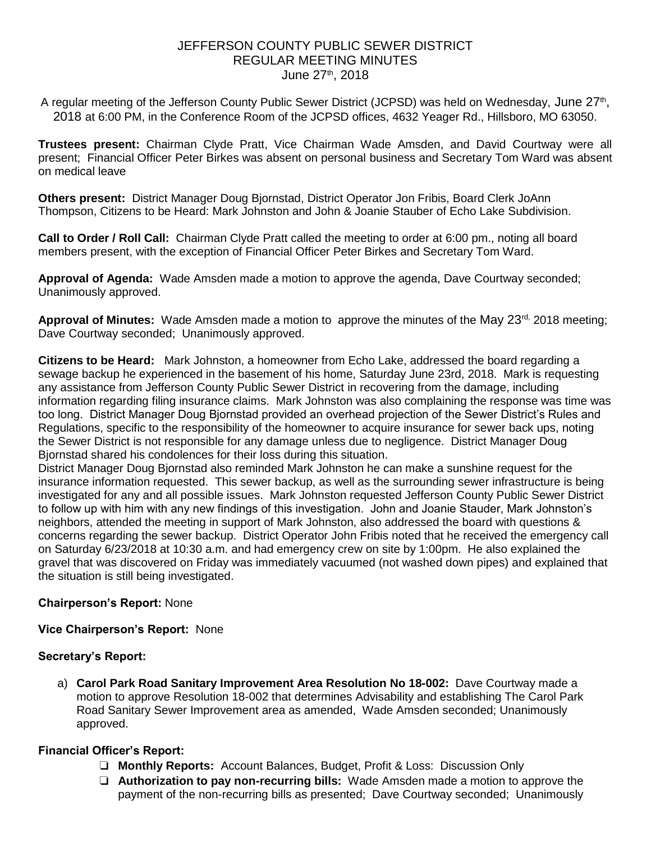## JEFFERSON COUNTY PUBLIC SEWER DISTRICT REGULAR MEETING MINUTES June 27<sup>th</sup>, 2018

A regular meeting of the Jefferson County Public Sewer District (JCPSD) was held on Wednesday, June 27<sup>th</sup>, 2018 at 6:00 PM, in the Conference Room of the JCPSD offices, 4632 Yeager Rd., Hillsboro, MO 63050.

**Trustees present:** Chairman Clyde Pratt, Vice Chairman Wade Amsden, and David Courtway were all present; Financial Officer Peter Birkes was absent on personal business and Secretary Tom Ward was absent on medical leave

**Others present:** District Manager Doug Bjornstad, District Operator Jon Fribis, Board Clerk JoAnn Thompson, Citizens to be Heard: Mark Johnston and John & Joanie Stauber of Echo Lake Subdivision.

**Call to Order / Roll Call:** Chairman Clyde Pratt called the meeting to order at 6:00 pm., noting all board members present, with the exception of Financial Officer Peter Birkes and Secretary Tom Ward.

**Approval of Agenda:** Wade Amsden made a motion to approve the agenda, Dave Courtway seconded; Unanimously approved.

Approval of Minutes: Wade Amsden made a motion to approve the minutes of the May 23<sup>rd,</sup> 2018 meeting; Dave Courtway seconded; Unanimously approved.

**Citizens to be Heard:** Mark Johnston, a homeowner from Echo Lake, addressed the board regarding a sewage backup he experienced in the basement of his home, Saturday June 23rd, 2018. Mark is requesting any assistance from Jefferson County Public Sewer District in recovering from the damage, including information regarding filing insurance claims. Mark Johnston was also complaining the response was time was too long. District Manager Doug Bjornstad provided an overhead projection of the Sewer District's Rules and Regulations, specific to the responsibility of the homeowner to acquire insurance for sewer back ups, noting the Sewer District is not responsible for any damage unless due to negligence. District Manager Doug Bjornstad shared his condolences for their loss during this situation.

District Manager Doug Bjornstad also reminded Mark Johnston he can make a sunshine request for the insurance information requested. This sewer backup, as well as the surrounding sewer infrastructure is being investigated for any and all possible issues. Mark Johnston requested Jefferson County Public Sewer District to follow up with him with any new findings of this investigation. John and Joanie Stauder, Mark Johnston's neighbors, attended the meeting in support of Mark Johnston, also addressed the board with questions & concerns regarding the sewer backup. District Operator John Fribis noted that he received the emergency call on Saturday 6/23/2018 at 10:30 a.m. and had emergency crew on site by 1:00pm. He also explained the gravel that was discovered on Friday was immediately vacuumed (not washed down pipes) and explained that the situation is still being investigated.

# **Chairperson's Report:** None

## **Vice Chairperson's Report:** None

## **Secretary's Report:**

a) **Carol Park Road Sanitary Improvement Area Resolution No 18-002:** Dave Courtway made a motion to approve Resolution 18-002 that determines Advisability and establishing The Carol Park Road Sanitary Sewer Improvement area as amended, Wade Amsden seconded; Unanimously approved.

# **Financial Officer's Report:**

- ❏ **Monthly Reports:** Account Balances, Budget, Profit & Loss: Discussion Only
- ❏ **Authorization to pay non-recurring bills:** Wade Amsden made a motion to approve the payment of the non-recurring bills as presented; Dave Courtway seconded; Unanimously